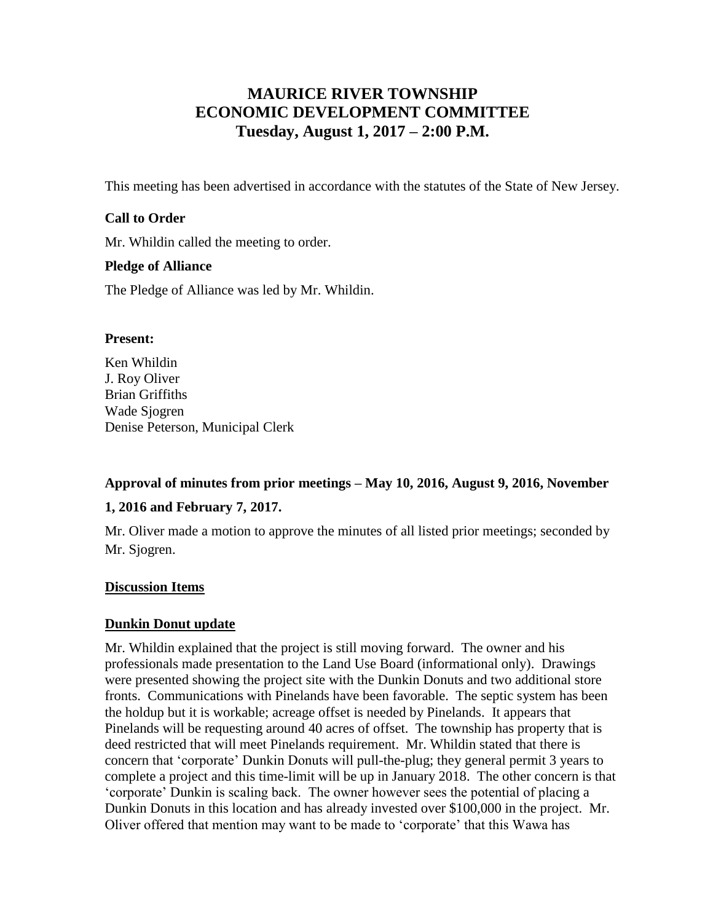# **MAURICE RIVER TOWNSHIP ECONOMIC DEVELOPMENT COMMITTEE Tuesday, August 1, 2017 – 2:00 P.M.**

This meeting has been advertised in accordance with the statutes of the State of New Jersey.

#### **Call to Order**

Mr. Whildin called the meeting to order.

#### **Pledge of Alliance**

The Pledge of Alliance was led by Mr. Whildin.

#### **Present:**

Ken Whildin J. Roy Oliver Brian Griffiths Wade Sjogren Denise Peterson, Municipal Clerk

# **Approval of minutes from prior meetings – May 10, 2016, August 9, 2016, November**

#### **1, 2016 and February 7, 2017.**

Mr. Oliver made a motion to approve the minutes of all listed prior meetings; seconded by Mr. Sjogren.

#### **Discussion Items**

#### **Dunkin Donut update**

Mr. Whildin explained that the project is still moving forward. The owner and his professionals made presentation to the Land Use Board (informational only). Drawings were presented showing the project site with the Dunkin Donuts and two additional store fronts. Communications with Pinelands have been favorable. The septic system has been the holdup but it is workable; acreage offset is needed by Pinelands. It appears that Pinelands will be requesting around 40 acres of offset. The township has property that is deed restricted that will meet Pinelands requirement. Mr. Whildin stated that there is concern that 'corporate' Dunkin Donuts will pull-the-plug; they general permit 3 years to complete a project and this time-limit will be up in January 2018. The other concern is that 'corporate' Dunkin is scaling back. The owner however sees the potential of placing a Dunkin Donuts in this location and has already invested over \$100,000 in the project. Mr. Oliver offered that mention may want to be made to 'corporate' that this Wawa has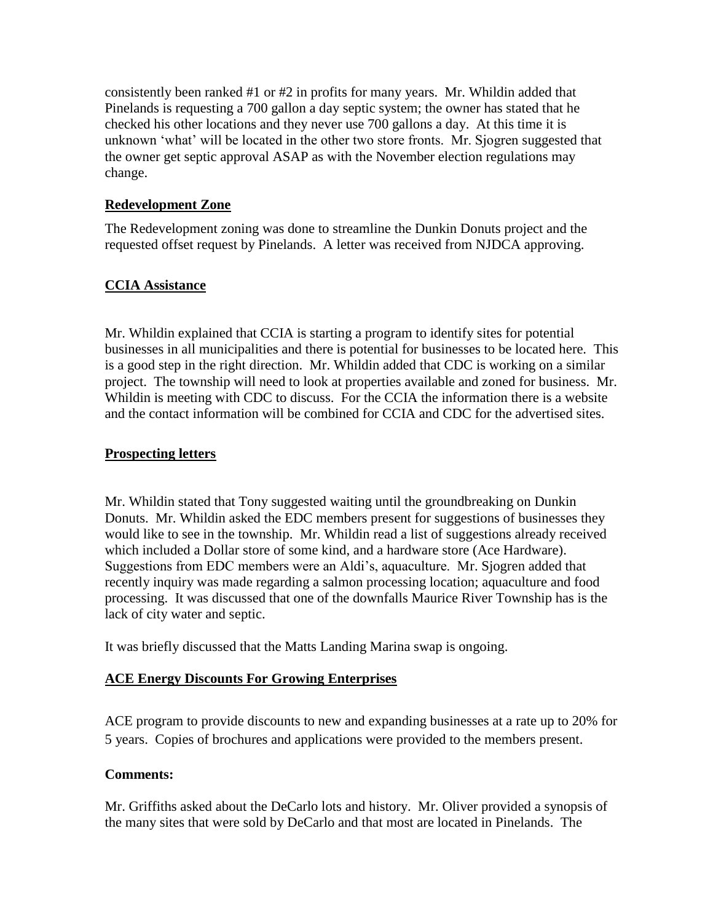consistently been ranked #1 or #2 in profits for many years. Mr. Whildin added that Pinelands is requesting a 700 gallon a day septic system; the owner has stated that he checked his other locations and they never use 700 gallons a day. At this time it is unknown 'what' will be located in the other two store fronts. Mr. Sjogren suggested that the owner get septic approval ASAP as with the November election regulations may change.

#### **Redevelopment Zone**

The Redevelopment zoning was done to streamline the Dunkin Donuts project and the requested offset request by Pinelands. A letter was received from NJDCA approving.

## **CCIA Assistance**

Mr. Whildin explained that CCIA is starting a program to identify sites for potential businesses in all municipalities and there is potential for businesses to be located here. This is a good step in the right direction. Mr. Whildin added that CDC is working on a similar project. The township will need to look at properties available and zoned for business. Mr. Whildin is meeting with CDC to discuss. For the CCIA the information there is a website and the contact information will be combined for CCIA and CDC for the advertised sites.

#### **Prospecting letters**

Mr. Whildin stated that Tony suggested waiting until the groundbreaking on Dunkin Donuts. Mr. Whildin asked the EDC members present for suggestions of businesses they would like to see in the township. Mr. Whildin read a list of suggestions already received which included a Dollar store of some kind, and a hardware store (Ace Hardware). Suggestions from EDC members were an Aldi's, aquaculture. Mr. Sjogren added that recently inquiry was made regarding a salmon processing location; aquaculture and food processing. It was discussed that one of the downfalls Maurice River Township has is the lack of city water and septic.

It was briefly discussed that the Matts Landing Marina swap is ongoing.

## **ACE Energy Discounts For Growing Enterprises**

ACE program to provide discounts to new and expanding businesses at a rate up to 20% for 5 years. Copies of brochures and applications were provided to the members present.

#### **Comments:**

Mr. Griffiths asked about the DeCarlo lots and history. Mr. Oliver provided a synopsis of the many sites that were sold by DeCarlo and that most are located in Pinelands. The